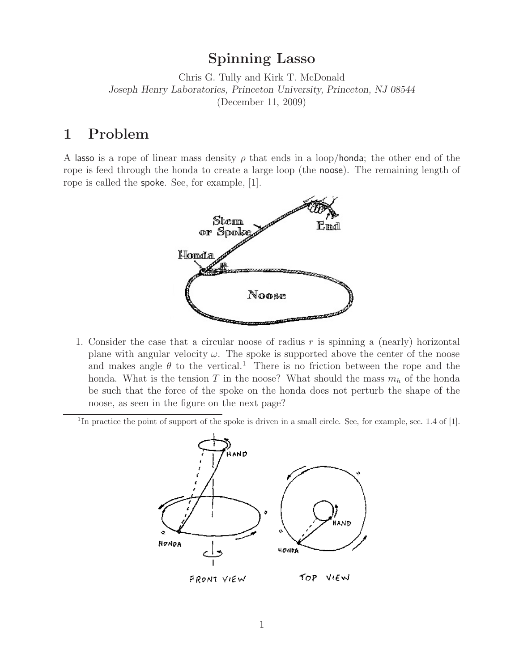**Spinning Lasso** Chris G. Tully and Kirk T. McDonald *Joseph Henry Laboratories, Princeton University, Princeton, NJ 08544* (December 11, 2009)

A lasso is a rope of linear mass density  $\rho$  that ends in a loop/honda; the other end of the rope is feed through the honda to create a large loop (the noose). The remaining length of rope is called the spoke. See, for example, [1].



- 1. Consider the case that a circular noose of radius  $r$  is spinning a (nearly) horizontal plane with angular velocity  $\omega$ . The spoke is supported above the center of the noose and makes angle  $\theta$  to the vertical.<sup>1</sup> There is no friction between the rope and the honda. What is the tension T in the noose? What should the mass  $m_h$  of the honda be such that the force of the spoke on the honda does not perturb the shape of the noose, as seen in the figure on the next page?
- <sup>1</sup>In practice the point of support of the spoke is driven in a small circle. See, for example, sec. 1.4 of [1].

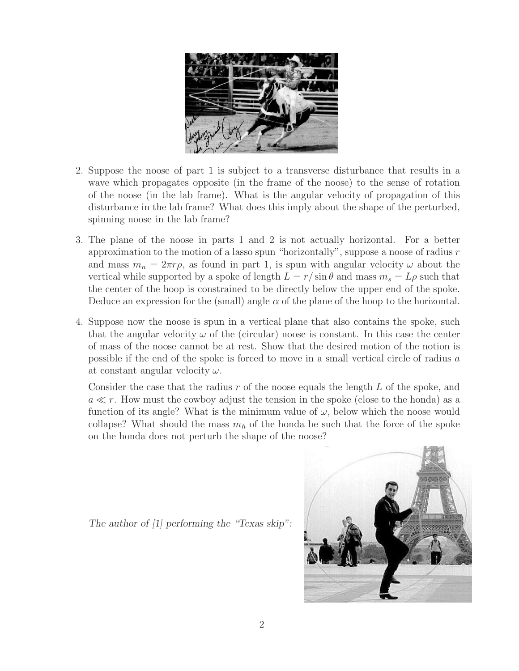

- 2. Suppose the noose of part 1 is subject to a transverse disturbance that results in a wave which propagates opposite (in the frame of the noose) to the sense of rotation of the noose (in the lab frame). What is the angular velocity of propagation of this disturbance in the lab frame? What does this imply about the shape of the perturbed, spinning noose in the lab frame?
- 3. The plane of the noose in parts 1 and 2 is not actually horizontal. For a better approximation to the motion of a lasso spun "horizontally", suppose a noose of radius  $r$ and mass  $m_n = 2\pi r\rho$ , as found in part 1, is spun with angular velocity  $\omega$  about the vertical while supported by a spoke of length  $L = r / \sin \theta$  and mass  $m_s = L \rho$  such that the center of the hoop is constrained to be directly below the upper end of the spoke. Deduce an expression for the (small) angle  $\alpha$  of the plane of the hoop to the horizontal.
- 4. Suppose now the noose is spun in a vertical plane that also contains the spoke, such that the angular velocity  $\omega$  of the (circular) noose is constant. In this case the center of mass of the noose cannot be at rest. Show that the desired motion of the notion is possible if the end of the spoke is forced to move in a small vertical circle of radius a at constant angular velocity  $\omega$ .

Consider the case that the radius  $r$  of the noose equals the length  $L$  of the spoke, and  $a \ll r$ . How must the cowboy adjust the tension in the spoke (close to the honda) as a function of its angle? What is the minimum value of  $\omega$ , below which the noose would collapse? What should the mass  $m_h$  of the honda be such that the force of the spoke on the honda does not perturb the shape of the noose?

*The author of [1] performing the "Texas skip":*

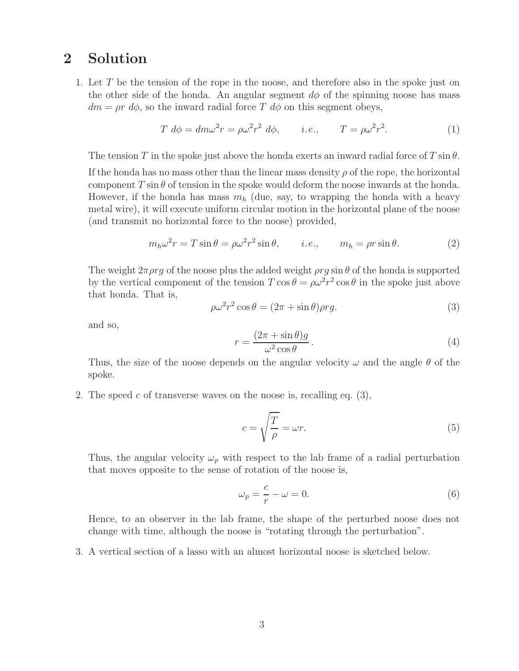## **2 Solution**

1. Let T be the tension of the rope in the noose, and therefore also in the spoke just on the other side of the honda. An angular segment  $d\phi$  of the spinning noose has mass  $dm = \rho r d\phi$ , so the inward radial force T  $d\phi$  on this segment obeys,

$$
T d\phi = dm\omega^2 r = \rho \omega^2 r^2 d\phi, \qquad i.e., \qquad T = \rho \omega^2 r^2. \tag{1}
$$

The tension T in the spoke just above the honda exerts an inward radial force of T sin  $\theta$ .

If the honda has no mass other than the linear mass density  $\rho$  of the rope, the horizontal component  $T \sin \theta$  of tension in the spoke would deform the noose inwards at the honda. However, if the honda has mass  $m_h$  (due, say, to wrapping the honda with a heavy metal wire), it will execute uniform circular motion in the horizontal plane of the noose (and transmit no horizontal force to the noose) provided,

$$
m_h \omega^2 r = T \sin \theta = \rho \omega^2 r^2 \sin \theta, \qquad i.e., \qquad m_h = \rho r \sin \theta. \tag{2}
$$

The weight  $2\pi \rho r q$  of the noose plus the added weight  $\rho r q \sin \theta$  of the honda is supported by the vertical component of the tension  $T \cos \theta = \rho \omega^2 r^2 \cos \theta$  in the spoke just above that honda. That is,

$$
\rho \omega^2 r^2 \cos \theta = (2\pi + \sin \theta) \rho r g. \tag{3}
$$

and so,

$$
r = \frac{(2\pi + \sin \theta)g}{\omega^2 \cos \theta}.
$$
\n(4)

Thus, the size of the noose depends on the angular velocity  $\omega$  and the angle  $\theta$  of the spoke.

2. The speed c of transverse waves on the noose is, recalling eq.  $(3)$ ,

$$
c = \sqrt{\frac{T}{\rho}} = \omega r.
$$
\n(5)

Thus, the angular velocity  $\omega_p$  with respect to the lab frame of a radial perturbation that moves opposite to the sense of rotation of the noose is,

$$
\omega_p = \frac{c}{r} - \omega = 0. \tag{6}
$$

Hence, to an observer in the lab frame, the shape of the perturbed noose does not change with time, although the noose is "rotating through the perturbation".

3. A vertical section of a lasso with an almost horizontal noose is sketched below.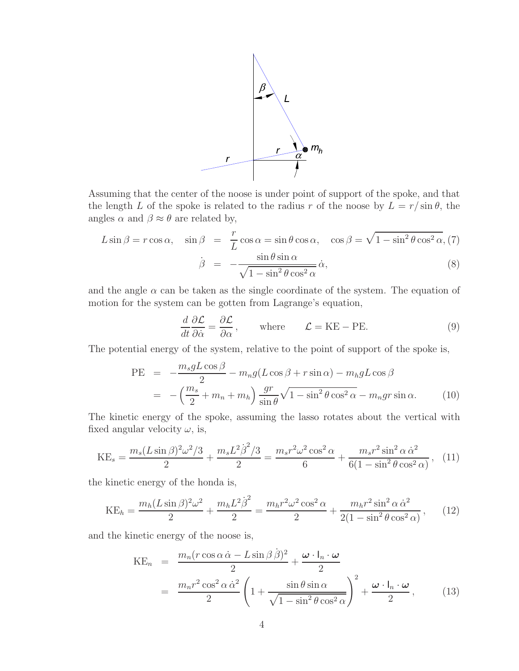

Assuming that the center of the noose is under point of support of the spoke, and that the length L of the spoke is related to the radius r of the noose by  $L = r/\sin\theta$ , the angles  $\alpha$  and  $\beta \approx \theta$  are related by,

$$
L\sin\beta = r\cos\alpha, \quad \sin\beta = \frac{r}{L}\cos\alpha = \sin\theta\cos\alpha, \quad \cos\beta = \sqrt{1 - \sin^2\theta\cos^2\alpha}, (7)
$$

$$
\dot{\beta} = -\frac{\sin\theta\sin\alpha}{\sqrt{1 - \sin^2\theta\cos^2\alpha}}\dot{\alpha}, \tag{8}
$$

and the angle  $\alpha$  can be taken as the single coordinate of the system. The equation of motion for the system can be gotten from Lagrange's equation,

$$
\frac{d}{dt}\frac{\partial \mathcal{L}}{\partial \dot{\alpha}} = \frac{\partial \mathcal{L}}{\partial \alpha}, \quad \text{where} \quad \mathcal{L} = \text{KE} - \text{PE}.
$$
 (9)

The potential energy of the system, relative to the point of support of the spoke is,

PE = 
$$
-\frac{m_s g L \cos \beta}{2} - m_n g (L \cos \beta + r \sin \alpha) - m_h g L \cos \beta
$$

$$
= -\left(\frac{m_s}{2} + m_n + m_h\right) \frac{gr}{\sin \theta} \sqrt{1 - \sin^2 \theta \cos^2 \alpha} - m_n gr \sin \alpha. \tag{10}
$$

The kinetic energy of the spoke, assuming the lasso rotates about the vertical with fixed angular velocity  $\omega$ , is,

$$
KE_s = \frac{m_s (L \sin \beta)^2 \omega^2 / 3}{2} + \frac{m_s L^2 \dot{\beta}^2 / 3}{2} = \frac{m_s r^2 \omega^2 \cos^2 \alpha}{6} + \frac{m_s r^2 \sin^2 \alpha \dot{\alpha}^2}{6(1 - \sin^2 \theta \cos^2 \alpha)}, \quad (11)
$$

the kinetic energy of the honda is,

$$
KE_h = \frac{m_h (L \sin \beta)^2 \omega^2}{2} + \frac{m_h L^2 \dot{\beta}^2}{2} = \frac{m_h r^2 \omega^2 \cos^2 \alpha}{2} + \frac{m_h r^2 \sin^2 \alpha \dot{\alpha}^2}{2(1 - \sin^2 \theta \cos^2 \alpha)},
$$
(12)

and the kinetic energy of the noose is,

$$
KE_n = \frac{m_n (r \cos \alpha \dot{\alpha} - L \sin \beta \dot{\beta})^2}{2} + \frac{\omega \cdot l_n \cdot \omega}{2}
$$
  
= 
$$
\frac{m_n r^2 \cos^2 \alpha \dot{\alpha}^2}{2} \left( 1 + \frac{\sin \theta \sin \alpha}{\sqrt{1 - \sin^2 \theta \cos^2 \alpha}} \right)^2 + \frac{\omega \cdot l_n \cdot \omega}{2},
$$
(13)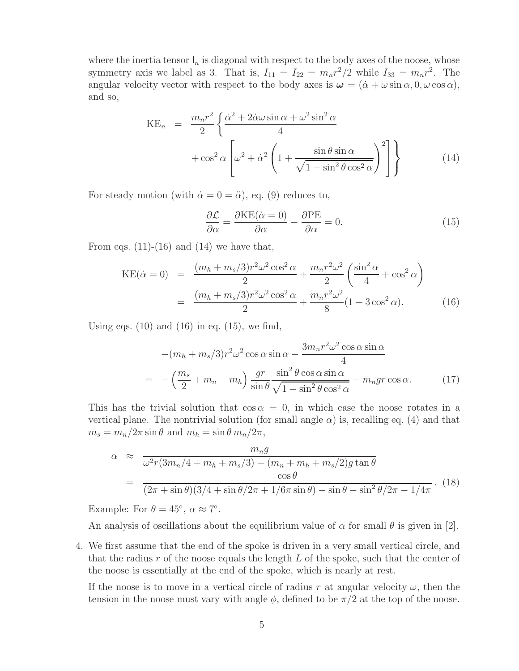where the inertia tensor  $I_n$  is diagonal with respect to the body axes of the noose, whose symmetry axis we label as 3. That is,  $I_{11} = I_{22} = m_n r^2/2$  while  $I_{33} = m_n r^2$ . The angular velocity vector with respect to the body axes is  $\omega = (\dot{\alpha} + \omega \sin \alpha, 0, \omega \cos \alpha)$ , and so,

$$
KE_n = \frac{m_n r^2}{2} \left\{ \frac{\dot{\alpha}^2 + 2\dot{\alpha}\omega \sin \alpha + \omega^2 \sin^2 \alpha}{4} + \cos^2 \alpha \left[ \omega^2 + \dot{\alpha}^2 \left( 1 + \frac{\sin \theta \sin \alpha}{\sqrt{1 - \sin^2 \theta \cos^2 \alpha}} \right)^2 \right] \right\}
$$
(14)

For steady motion (with  $\dot{\alpha} = 0 = \ddot{\alpha}$ ), eq. (9) reduces to,

$$
\frac{\partial \mathcal{L}}{\partial \alpha} = \frac{\partial \text{KE}(\dot{\alpha} = 0)}{\partial \alpha} - \frac{\partial \text{PE}}{\partial \alpha} = 0.
$$
 (15)

From eqs.  $(11)-(16)$  and  $(14)$  we have that,

$$
KE(\dot{\alpha} = 0) = \frac{(m_h + m_s/3)r^2\omega^2\cos^2{\alpha}}{2} + \frac{m_n r^2 \omega^2}{2} \left(\frac{\sin^2{\alpha}}{4} + \cos^2{\alpha}\right)
$$

$$
= \frac{(m_h + m_s/3)r^2\omega^2\cos^2{\alpha}}{2} + \frac{m_n r^2 \omega^2}{8} (1 + 3\cos^2{\alpha}).
$$
(16)

Using eqs.  $(10)$  and  $(16)$  in eq.  $(15)$ , we find,

$$
-(m_h + m_s/3)r^2\omega^2 \cos\alpha \sin\alpha - \frac{3m_n r^2 \omega^2 \cos\alpha \sin\alpha}{4}
$$
  
= 
$$
-\left(\frac{m_s}{2} + m_n + m_h\right) \frac{gr}{\sin\theta} \frac{\sin^2\theta \cos\alpha \sin\alpha}{\sqrt{1 - \sin^2\theta \cos^2\alpha}} - m_n gr \cos\alpha.
$$
 (17)

This has the trivial solution that  $\cos \alpha = 0$ , in which case the noose rotates in a vertical plane. The nontrivial solution (for small angle  $\alpha$ ) is, recalling eq. (4) and that  $m_s = m_n/2\pi \sin\theta$  and  $m_h = \sin\theta m_n/2\pi$ ,

$$
\alpha \approx \frac{m_n g}{\omega^2 r (3m_n/4 + m_h + m_s/3) - (m_n + m_h + m_s/2) g \tan \theta}
$$
  
= 
$$
\frac{\cos \theta}{(2\pi + \sin \theta)(3/4 + \sin \theta/2\pi + 1/6\pi \sin \theta) - \sin \theta - \sin^2 \theta/2\pi - 1/4\pi}.
$$
 (18)

Example: For  $\theta = 45^{\circ}$ ,  $\alpha \approx 7^{\circ}$ .

An analysis of oscillations about the equilibrium value of  $\alpha$  for small  $\theta$  is given in [2].

4. We first assume that the end of the spoke is driven in a very small vertical circle, and that the radius  $r$  of the noose equals the length  $L$  of the spoke, such that the center of the noose is essentially at the end of the spoke, which is nearly at rest.

If the noose is to move in a vertical circle of radius r at angular velocity  $\omega$ , then the tension in the noose must vary with angle  $\phi$ , defined to be  $\pi/2$  at the top of the noose.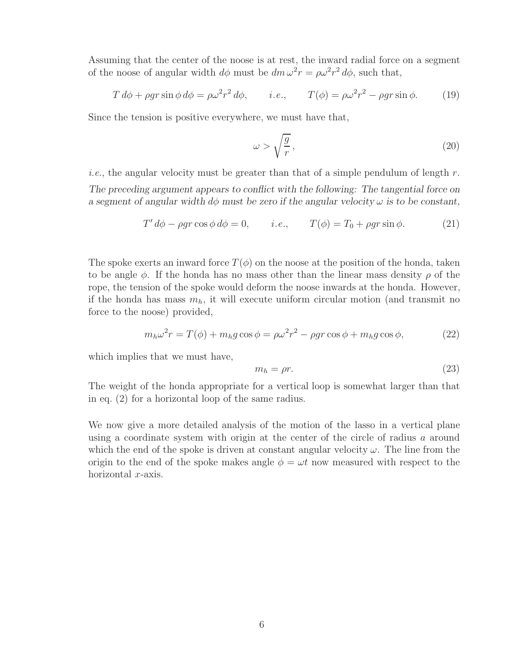Assuming that the center of the noose is at rest, the inward radial force on a segment of the noose of angular width  $d\phi$  must be  $dm \omega^2 r = \rho \omega^2 r^2 d\phi$ , such that,

$$
T d\phi + \rho gr \sin \phi d\phi = \rho \omega^2 r^2 d\phi, \qquad i.e., \qquad T(\phi) = \rho \omega^2 r^2 - \rho gr \sin \phi. \tag{19}
$$

Since the tension is positive everywhere, we must have that,

$$
\omega > \sqrt{\frac{g}{r}},\tag{20}
$$

*i.e.*, the angular velocity must be greater than that of a simple pendulum of length  $r$ . *The preceding argument appears to conflict with the following: The tangential force on a segment of angular width*  $d\phi$  *must be zero if the angular velocity*  $\omega$  *is to be constant.* 

$$
T' d\phi - \rho gr \cos \phi d\phi = 0, \qquad i.e., \qquad T(\phi) = T_0 + \rho gr \sin \phi. \tag{21}
$$

The spoke exerts an inward force  $T(\phi)$  on the noose at the position of the honda, taken to be angle  $\phi$ . If the honda has no mass other than the linear mass density  $\rho$  of the rope, the tension of the spoke would deform the noose inwards at the honda. However, if the honda has mass  $m_h$ , it will execute uniform circular motion (and transmit no force to the noose) provided,

$$
m_h \omega^2 r = T(\phi) + m_h g \cos \phi = \rho \omega^2 r^2 - \rho g r \cos \phi + m_h g \cos \phi, \qquad (22)
$$

which implies that we must have,

$$
m_h = \rho r. \tag{23}
$$

The weight of the honda appropriate for a vertical loop is somewhat larger than that in eq. (2) for a horizontal loop of the same radius.

We now give a more detailed analysis of the motion of the lasso in a vertical plane using a coordinate system with origin at the center of the circle of radius a around which the end of the spoke is driven at constant angular velocity  $\omega$ . The line from the origin to the end of the spoke makes angle  $\phi = \omega t$  now measured with respect to the horizontal  $x$ -axis.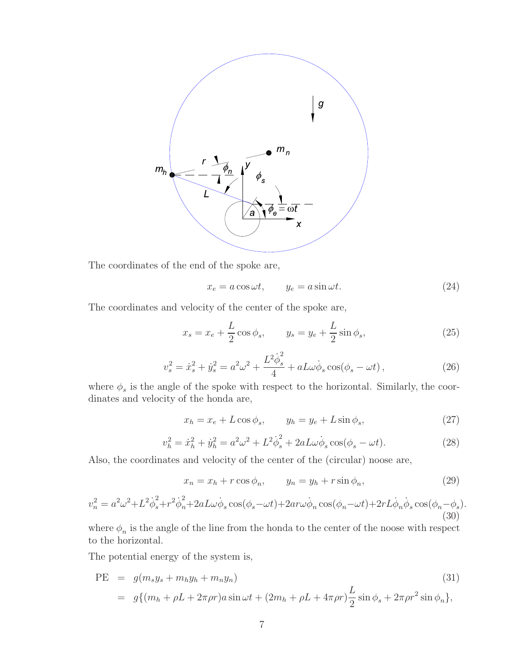

The coordinates of the end of the spoke are,

$$
x_e = a\cos\omega t, \qquad y_e = a\sin\omega t. \tag{24}
$$

The coordinates and velocity of the center of the spoke are,

$$
x_s = x_e + \frac{L}{2}\cos\phi_s, \qquad y_s = y_e + \frac{L}{2}\sin\phi_s,\tag{25}
$$

$$
v_s^2 = \dot{x}_s^2 + \dot{y}_s^2 = a^2 \omega^2 + \frac{L^2 \dot{\phi}_s^2}{4} + aL\omega\dot{\phi}_s \cos(\phi_s - \omega t), \qquad (26)
$$

where  $\phi_s$  is the angle of the spoke with respect to the horizontal. Similarly, the coordinates and velocity of the honda are,

$$
x_h = x_e + L\cos\phi_s, \qquad y_h = y_e + L\sin\phi_s,\tag{27}
$$

$$
v_h^2 = \dot{x}_h^2 + \dot{y}_h^2 = a^2 \omega^2 + L^2 \dot{\phi}_s^2 + 2aL\omega \dot{\phi}_s \cos(\phi_s - \omega t). \tag{28}
$$

Also, the coordinates and velocity of the center of the (circular) noose are,

$$
x_n = x_h + r \cos \phi_n, \qquad y_n = y_h + r \sin \phi_n, \tag{29}
$$

$$
v_n^2 = a^2 \omega^2 + L^2 \dot{\phi}_s^2 + r^2 \dot{\phi}_n^2 + 2aL\omega \dot{\phi}_s \cos(\phi_s - \omega t) + 2ar\omega \dot{\phi}_n \cos(\phi_n - \omega t) + 2rL\dot{\phi}_n \dot{\phi}_s \cos(\phi_n - \phi_s).
$$
\n(30)

where  $\phi_n$  is the angle of the line from the honda to the center of the noose with respect to the horizontal.

The potential energy of the system is,

PE = 
$$
g(m_s y_s + m_h y_h + m_n y_n)
$$
 (31)  
=  $g\{(m_h + \rho L + 2\pi \rho r)a \sin \omega t + (2m_h + \rho L + 4\pi \rho r)\frac{L}{2} \sin \phi_s + 2\pi \rho r^2 \sin \phi_n\},$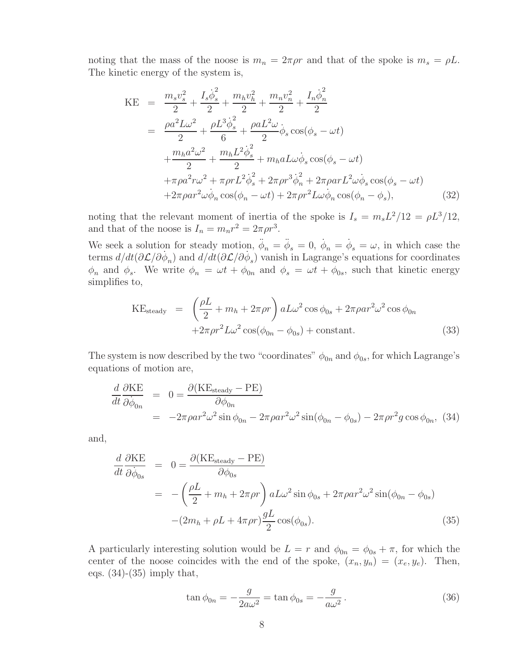noting that the mass of the noose is  $m_n = 2\pi \rho r$  and that of the spoke is  $m_s = \rho L$ . The kinetic energy of the system is,

$$
KE = \frac{m_s v_s^2}{2} + \frac{I_s \dot{\phi}_s^2}{2} + \frac{m_h v_h^2}{2} + \frac{m_n v_n^2}{2} + \frac{I_n \dot{\phi}_n^2}{2}
$$
  
\n
$$
= \frac{\rho a^2 L \omega^2}{2} + \frac{\rho L^3 \dot{\phi}_s^2}{6} + \frac{\rho a L^2 \omega}{2} \dot{\phi}_s \cos(\phi_s - \omega t)
$$
  
\n
$$
+ \frac{m_h a^2 \omega^2}{2} + \frac{m_h L^2 \dot{\phi}_s^2}{2} + m_h a L \omega \dot{\phi}_s \cos(\phi_s - \omega t)
$$
  
\n
$$
+ \pi \rho a^2 r \omega^2 + \pi \rho r L^2 \dot{\phi}_s^2 + 2 \pi \rho r^3 \dot{\phi}_n^2 + 2 \pi \rho a r L^2 \omega \dot{\phi}_s \cos(\phi_s - \omega t)
$$
  
\n
$$
+ 2 \pi \rho a r^2 \omega \dot{\phi}_n \cos(\phi_n - \omega t) + 2 \pi \rho r^2 L \omega \dot{\phi}_n \cos(\phi_n - \phi_s), \qquad (32)
$$

noting that the relevant moment of inertia of the spoke is  $I_s = m_s L^2/12 = \rho L^3/12$ , and that of the noose is  $I_n = m_n r^2 = 2\pi \rho r^3$ .

We seek a solution for steady motion,  $\ddot{\phi}_n = \ddot{\phi}_s = 0$ ,  $\dot{\phi}_n = \dot{\phi}_s = \omega$ , in which case the terms  $d/dt(\partial \mathcal{L}/\partial \dot{\phi}_n)$  and  $d/dt(\partial \mathcal{L}/\partial \dot{\phi}_s)$  vanish in Lagrange's equations for coordinates  $\phi_n$  and  $\phi_s$ . We write  $\phi_n = \omega t + \phi_{0n}$  and  $\phi_s = \omega t + \phi_{0s}$ , such that kinetic energy simplifies to,

$$
KE_{\text{steady}} = \left(\frac{\rho L}{2} + m_h + 2\pi \rho r\right) a L \omega^2 \cos \phi_{0s} + 2\pi \rho a r^2 \omega^2 \cos \phi_{0n}
$$

$$
+ 2\pi \rho r^2 L \omega^2 \cos(\phi_{0n} - \phi_{0s}) + \text{constant.}
$$
(33)

The system is now described by the two "coordinates"  $\phi_{0n}$  and  $\phi_{0s}$ , for which Lagrange's equations of motion are,

$$
\frac{d}{dt}\frac{\partial KE}{\partial \dot{\phi}_{0n}} = 0 = \frac{\partial (KE_{\text{steady}} - PE)}{\partial \phi_{0n}} \n= -2\pi \rho a r^2 \omega^2 \sin \phi_{0n} - 2\pi \rho a r^2 \omega^2 \sin(\phi_{0n} - \phi_{0s}) - 2\pi \rho r^2 g \cos \phi_{0n},
$$
\n(34)

and,

$$
\frac{d}{dt}\frac{\partial KE}{\partial \dot{\phi}_{0s}} = 0 = \frac{\partial (KE_{\text{steady}} - PE)}{\partial \phi_{0s}}
$$
\n
$$
= -\left(\frac{\rho L}{2} + m_h + 2\pi \rho r\right) aL\omega^2 \sin \phi_{0s} + 2\pi \rho a r^2 \omega^2 \sin(\phi_{0n} - \phi_{0s})
$$
\n
$$
-(2m_h + \rho L + 4\pi \rho r)\frac{gL}{2}\cos(\phi_{0s}). \tag{35}
$$

A particularly interesting solution would be  $L = r$  and  $\phi_{0n} = \phi_{0s} + \pi$ , for which the center of the noose coincides with the end of the spoke,  $(x_n, y_n)=(x_e, y_e)$ . Then, eqs.  $(34)-(35)$  imply that,

$$
\tan \phi_{0n} = -\frac{g}{2a\omega^2} = \tan \phi_{0s} = -\frac{g}{a\omega^2}.
$$
\n(36)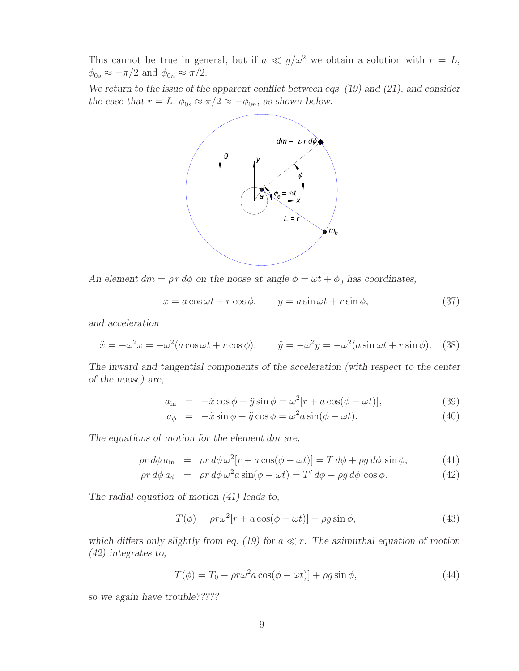This cannot be true in general, but if  $a \ll g/\omega^2$  we obtain a solution with  $r = L$ ,  $\phi_{0s} \approx -\pi/2$  and  $\phi_{0n} \approx \pi/2$ .

*We return to the issue of the apparent conflict between eqs. (19) and (21), and consider the case that*  $r = L$ ,  $\phi_{0s} \approx \pi/2 \approx -\phi_{0n}$ , as shown below.



*An element*  $dm = \rho r d\phi$  *on the noose at angle*  $\phi = \omega t + \phi_0$  *has coordinates,* 

$$
x = a\cos\omega t + r\cos\phi, \qquad y = a\sin\omega t + r\sin\phi,\tag{37}
$$

*and acceleration*

$$
\ddot{x} = -\omega^2 x = -\omega^2 (a \cos \omega t + r \cos \phi), \qquad \ddot{y} = -\omega^2 y = -\omega^2 (a \sin \omega t + r \sin \phi). \tag{38}
$$

*The inward and tangential components of the acceleration (with respect to the center of the noose) are,*

$$
a_{\rm in} = -\ddot{x}\cos\phi - \ddot{y}\sin\phi = \omega^2[r + a\cos(\phi - \omega t)],
$$
\n(39)

$$
a_{\phi} = -\ddot{x}\sin\phi + \ddot{y}\cos\phi = \omega^2 a\sin(\phi - \omega t). \tag{40}
$$

*The equations of motion for the element* dm *are,*

$$
\rho r \, d\phi \, a_{\rm in} = \rho r \, d\phi \, \omega^2 [r + a \cos(\phi - \omega t)] = T \, d\phi + \rho g \, d\phi \, \sin \phi,\tag{41}
$$

$$
\rho r d\phi a_{\phi} = \rho r d\phi \omega^2 a \sin(\phi - \omega t) = T' d\phi - \rho g d\phi \cos \phi.
$$
 (42)

*The radial equation of motion (41) leads to,*

$$
T(\phi) = \rho r \omega^2 [r + a \cos(\phi - \omega t)] - \rho g \sin \phi, \qquad (43)
$$

which differs only slightly from eq.  $(19)$  for  $a \ll r$ . The azimuthal equation of motion *(42) integrates to,*

$$
T(\phi) = T_0 - \rho r \omega^2 a \cos(\phi - \omega t) + \rho g \sin \phi,
$$
\n(44)

*so we again have trouble?????*